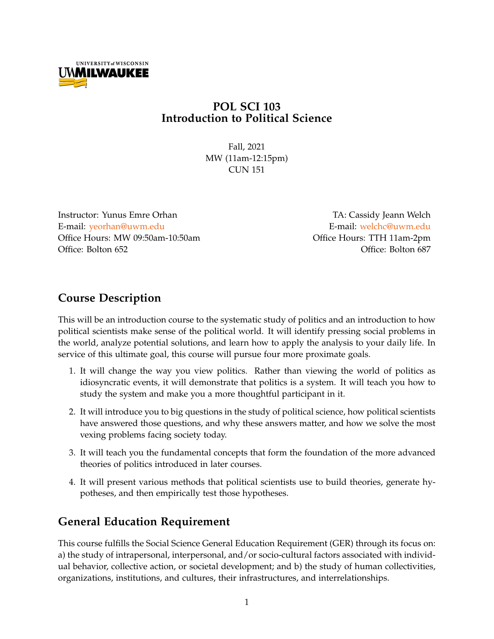

## **POL SCI 103 Introduction to Political Science**

Fall, 2021 MW (11am-12:15pm) CUN 151

Instructor: Yunus Emre Orhan TA: Cassidy Jeann Welch E-mail: [yeorhan@uwm.edu](mailto:yeorhan@uwm.edu) entertainment by the E-mail: [welchc@uwm.edu](mailto:welchc@uwm.edu) Office Hours: MW 09:50am-10:50am control office Hours: TTH 11am-2pm Office: Bolton 652 Office: Bolton 687

## **Course Description**

This will be an introduction course to the systematic study of politics and an introduction to how political scientists make sense of the political world. It will identify pressing social problems in the world, analyze potential solutions, and learn how to apply the analysis to your daily life. In service of this ultimate goal, this course will pursue four more proximate goals.

- 1. It will change the way you view politics. Rather than viewing the world of politics as idiosyncratic events, it will demonstrate that politics is a system. It will teach you how to study the system and make you a more thoughtful participant in it.
- 2. It will introduce you to big questions in the study of political science, how political scientists have answered those questions, and why these answers matter, and how we solve the most vexing problems facing society today.
- 3. It will teach you the fundamental concepts that form the foundation of the more advanced theories of politics introduced in later courses.
- 4. It will present various methods that political scientists use to build theories, generate hypotheses, and then empirically test those hypotheses.

# **General Education Requirement**

This course fulfills the Social Science General Education Requirement (GER) through its focus on: a) the study of intrapersonal, interpersonal, and/or socio-cultural factors associated with individual behavior, collective action, or societal development; and b) the study of human collectivities, organizations, institutions, and cultures, their infrastructures, and interrelationships.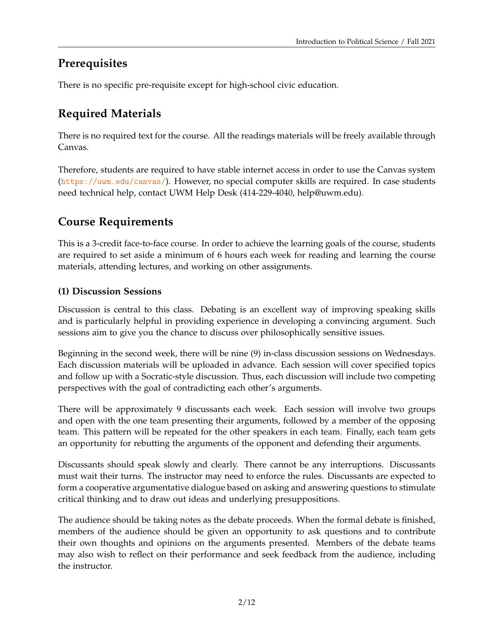# **Prerequisites**

There is no specific pre-requisite except for high-school civic education.

# **Required Materials**

There is no required text for the course. All the readings materials will be freely available through Canvas.

Therefore, students are required to have stable internet access in order to use the Canvas system (<https://uwm.edu/canvas/>). However, no special computer skills are required. In case students need technical help, contact UWM Help Desk (414-229-4040, help@uwm.edu).

# **Course Requirements**

This is a 3-credit face-to-face course. In order to achieve the learning goals of the course, students are required to set aside a minimum of 6 hours each week for reading and learning the course materials, attending lectures, and working on other assignments.

## **(1) Discussion Sessions**

Discussion is central to this class. Debating is an excellent way of improving speaking skills and is particularly helpful in providing experience in developing a convincing argument. Such sessions aim to give you the chance to discuss over philosophically sensitive issues.

Beginning in the second week, there will be nine (9) in-class discussion sessions on Wednesdays. Each discussion materials will be uploaded in advance. Each session will cover specified topics and follow up with a Socratic-style discussion. Thus, each discussion will include two competing perspectives with the goal of contradicting each other's arguments.

There will be approximately 9 discussants each week. Each session will involve two groups and open with the one team presenting their arguments, followed by a member of the opposing team. This pattern will be repeated for the other speakers in each team. Finally, each team gets an opportunity for rebutting the arguments of the opponent and defending their arguments.

Discussants should speak slowly and clearly. There cannot be any interruptions. Discussants must wait their turns. The instructor may need to enforce the rules. Discussants are expected to form a cooperative argumentative dialogue based on asking and answering questions to stimulate critical thinking and to draw out ideas and underlying presuppositions.

The audience should be taking notes as the debate proceeds. When the formal debate is finished, members of the audience should be given an opportunity to ask questions and to contribute their own thoughts and opinions on the arguments presented. Members of the debate teams may also wish to reflect on their performance and seek feedback from the audience, including the instructor.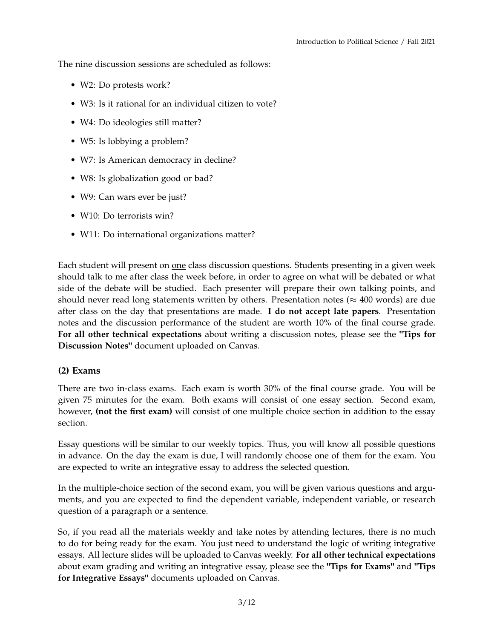The nine discussion sessions are scheduled as follows:

- W2: Do protests work?
- W3: Is it rational for an individual citizen to vote?
- W4: Do ideologies still matter?
- W5: Is lobbying a problem?
- W7: Is American democracy in decline?
- W8: Is globalization good or bad?
- W9: Can wars ever be just?
- W10: Do terrorists win?
- W11: Do international organizations matter?

Each student will present on one class discussion questions. Students presenting in a given week should talk to me after class the week before, in order to agree on what will be debated or what side of the debate will be studied. Each presenter will prepare their own talking points, and should never read long statements written by others. Presentation notes ( $\approx$  400 words) are due after class on the day that presentations are made. **I do not accept late papers**. Presentation notes and the discussion performance of the student are worth 10% of the final course grade. **For all other technical expectations** about writing a discussion notes, please see the **"Tips for Discussion Notes"** document uploaded on Canvas.

#### **(2) Exams**

There are two in-class exams. Each exam is worth 30% of the final course grade. You will be given 75 minutes for the exam. Both exams will consist of one essay section. Second exam, however, **(not the first exam)** will consist of one multiple choice section in addition to the essay section.

Essay questions will be similar to our weekly topics. Thus, you will know all possible questions in advance. On the day the exam is due, I will randomly choose one of them for the exam. You are expected to write an integrative essay to address the selected question.

In the multiple-choice section of the second exam, you will be given various questions and arguments, and you are expected to find the dependent variable, independent variable, or research question of a paragraph or a sentence.

So, if you read all the materials weekly and take notes by attending lectures, there is no much to do for being ready for the exam. You just need to understand the logic of writing integrative essays. All lecture slides will be uploaded to Canvas weekly. **For all other technical expectations** about exam grading and writing an integrative essay, please see the **"Tips for Exams"** and **"Tips for Integrative Essays"** documents uploaded on Canvas.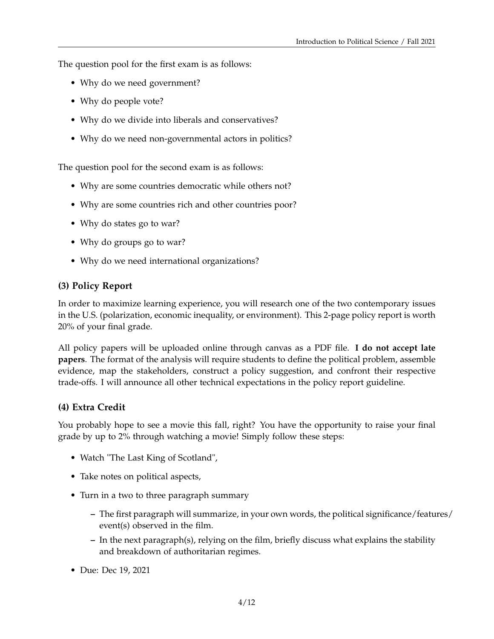The question pool for the first exam is as follows:

- Why do we need government?
- Why do people vote?
- Why do we divide into liberals and conservatives?
- Why do we need non-governmental actors in politics?

The question pool for the second exam is as follows:

- Why are some countries democratic while others not?
- Why are some countries rich and other countries poor?
- Why do states go to war?
- Why do groups go to war?
- Why do we need international organizations?

### **(3) Policy Report**

In order to maximize learning experience, you will research one of the two contemporary issues in the U.S. (polarization, economic inequality, or environment). This 2-page policy report is worth 20% of your final grade.

All policy papers will be uploaded online through canvas as a PDF file. **I do not accept late papers**. The format of the analysis will require students to define the political problem, assemble evidence, map the stakeholders, construct a policy suggestion, and confront their respective trade-offs. I will announce all other technical expectations in the policy report guideline.

#### **(4) Extra Credit**

You probably hope to see a movie this fall, right? You have the opportunity to raise your final grade by up to 2% through watching a movie! Simply follow these steps:

- Watch "The Last King of Scotland",
- Take notes on political aspects,
- Turn in a two to three paragraph summary
	- **–** The first paragraph will summarize, in your own words, the political significance/features/ event(s) observed in the film.
	- **–** In the next paragraph(s), relying on the film, briefly discuss what explains the stability and breakdown of authoritarian regimes.
- Due: Dec 19, 2021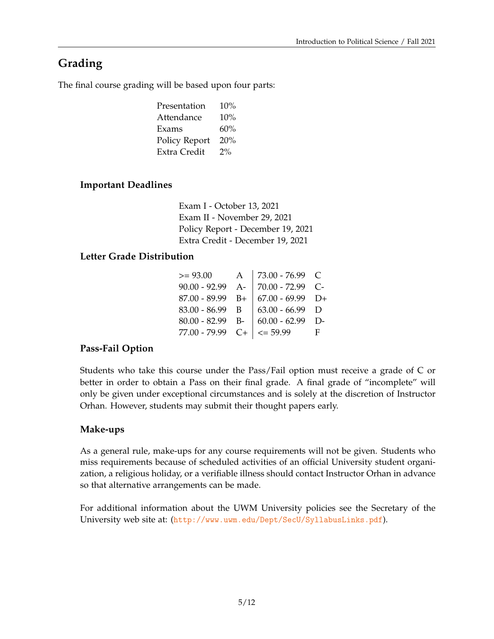# **Grading**

The final course grading will be based upon four parts:

| Presentation         | 10%   |
|----------------------|-------|
| Attendance           | 10%   |
| Exams                | 60%   |
| <b>Policy Report</b> | 20%   |
| Extra Credit         | $2\%$ |
|                      |       |

## **Important Deadlines**

Exam I - October 13, 2021 Exam II - November 29, 2021 Policy Report - December 19, 2021 Extra Credit - December 19, 2021

## **Letter Grade Distribution**

| $>= 93.00$                       | $\mathbf{A}$ | $  73.00 - 76.99 \text{ C}$         |    |
|----------------------------------|--------------|-------------------------------------|----|
|                                  |              | $90.00 - 92.99$ A- 70.00 - 72.99 C- |    |
| $87.00 - 89.99$ B+               |              | $  67.00 - 69.99   D+$              |    |
| $83.00 - 86.99$ B                |              | $63.00 - 66.99$ D                   |    |
| $80.00 - 82.99$ B-               |              | $  60.00 - 62.99   D -$             |    |
| $77.00 - 79.99$ C+ $  \le 59.99$ |              |                                     | E. |

## **Pass-Fail Option**

Students who take this course under the Pass/Fail option must receive a grade of C or better in order to obtain a Pass on their final grade. A final grade of "incomplete" will only be given under exceptional circumstances and is solely at the discretion of Instructor Orhan. However, students may submit their thought papers early.

## **Make-ups**

As a general rule, make-ups for any course requirements will not be given. Students who miss requirements because of scheduled activities of an official University student organization, a religious holiday, or a verifiable illness should contact Instructor Orhan in advance so that alternative arrangements can be made.

For additional information about the UWM University policies see the Secretary of the University web site at: (<http://www.uwm.edu/Dept/SecU/SyllabusLinks.pdf>).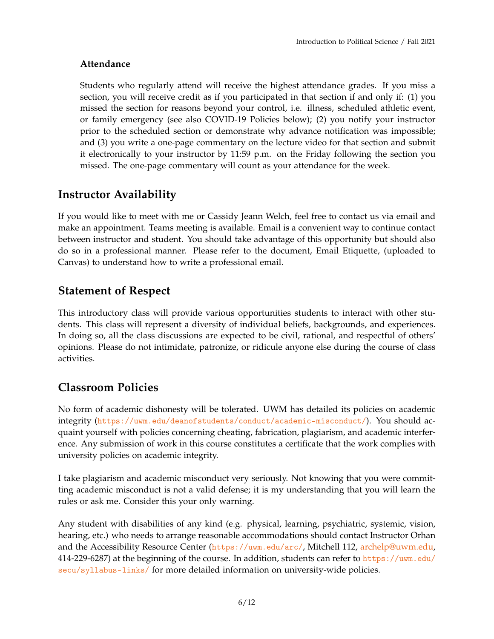## **Attendance**

Students who regularly attend will receive the highest attendance grades. If you miss a section, you will receive credit as if you participated in that section if and only if: (1) you missed the section for reasons beyond your control, i.e. illness, scheduled athletic event, or family emergency (see also COVID-19 Policies below); (2) you notify your instructor prior to the scheduled section or demonstrate why advance notification was impossible; and (3) you write a one-page commentary on the lecture video for that section and submit it electronically to your instructor by 11:59 p.m. on the Friday following the section you missed. The one-page commentary will count as your attendance for the week.

## **Instructor Availability**

If you would like to meet with me or Cassidy Jeann Welch, feel free to contact us via email and make an appointment. Teams meeting is available. Email is a convenient way to continue contact between instructor and student. You should take advantage of this opportunity but should also do so in a professional manner. Please refer to the document, Email Etiquette, (uploaded to Canvas) to understand how to write a professional email.

## **Statement of Respect**

This introductory class will provide various opportunities students to interact with other students. This class will represent a diversity of individual beliefs, backgrounds, and experiences. In doing so, all the class discussions are expected to be civil, rational, and respectful of others' opinions. Please do not intimidate, patronize, or ridicule anyone else during the course of class activities.

## **Classroom Policies**

No form of academic dishonesty will be tolerated. UWM has detailed its policies on academic integrity (<https://uwm.edu/deanofstudents/conduct/academic-misconduct/>). You should acquaint yourself with policies concerning cheating, fabrication, plagiarism, and academic interference. Any submission of work in this course constitutes a certificate that the work complies with university policies on academic integrity.

I take plagiarism and academic misconduct very seriously. Not knowing that you were committing academic misconduct is not a valid defense; it is my understanding that you will learn the rules or ask me. Consider this your only warning.

Any student with disabilities of any kind (e.g. physical, learning, psychiatric, systemic, vision, hearing, etc.) who needs to arrange reasonable accommodations should contact Instructor Orhan and the Accessibility Resource Center (<https://uwm.edu/arc/>, Mitchell 112, [archelp@uwm.edu,](mailto:archelp@uwm.edu) 414-229-6287) at the beginning of the course. In addition, students can refer to [https://uwm.edu/](https://uwm.edu/secu/syllabus-links/) [secu/syllabus-links/](https://uwm.edu/secu/syllabus-links/) for more detailed information on university-wide policies.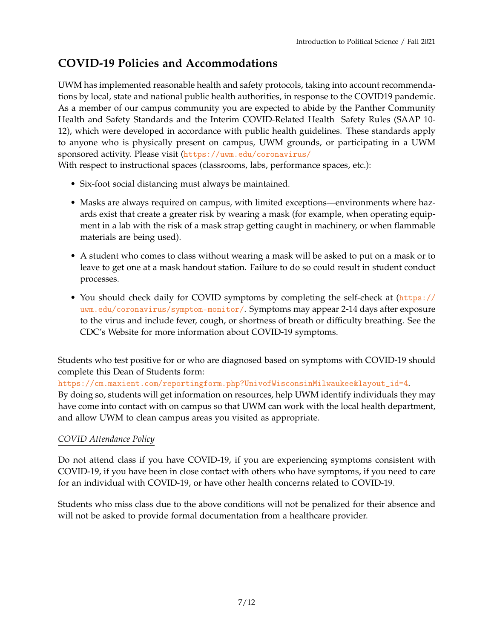# **COVID-19 Policies and Accommodations**

UWM has implemented reasonable health and safety protocols, taking into account recommendations by local, state and national public health authorities, in response to the COVID19 pandemic. As a member of our campus community you are expected to abide by the Panther Community Health and Safety Standards and the Interim COVID-Related Health Safety Rules (SAAP 10- 12), which were developed in accordance with public health guidelines. These standards apply to anyone who is physically present on campus, UWM grounds, or participating in a UWM sponsored activity. Please visit (<https://uwm.edu/coronavirus/>

With respect to instructional spaces (classrooms, labs, performance spaces, etc.):

- Six-foot social distancing must always be maintained.
- Masks are always required on campus, with limited exceptions—environments where hazards exist that create a greater risk by wearing a mask (for example, when operating equipment in a lab with the risk of a mask strap getting caught in machinery, or when flammable materials are being used).
- A student who comes to class without wearing a mask will be asked to put on a mask or to leave to get one at a mask handout station. Failure to do so could result in student conduct processes.
- You should check daily for COVID symptoms by completing the self-check at ([https://](https://uwm.edu/coronavirus/symptom-monitor/) [uwm.edu/coronavirus/symptom-monitor/](https://uwm.edu/coronavirus/symptom-monitor/). Symptoms may appear 2-14 days after exposure to the virus and include fever, cough, or shortness of breath or difficulty breathing. See the CDC's Website for more information about COVID-19 symptoms.

Students who test positive for or who are diagnosed based on symptoms with COVID-19 should complete this Dean of Students form:

[https://cm.maxient.com/reportingform.php?UnivofWisconsinMilwaukee&layout\\_id=4](https://cm.maxient.com/reportingform.php?UnivofWisconsinMilwaukee&layout_id=4).

By doing so, students will get information on resources, help UWM identify individuals they may have come into contact with on campus so that UWM can work with the local health department, and allow UWM to clean campus areas you visited as appropriate.

## *COVID Attendance Policy*

Do not attend class if you have COVID-19, if you are experiencing symptoms consistent with COVID-19, if you have been in close contact with others who have symptoms, if you need to care for an individual with COVID-19, or have other health concerns related to COVID-19.

Students who miss class due to the above conditions will not be penalized for their absence and will not be asked to provide formal documentation from a healthcare provider.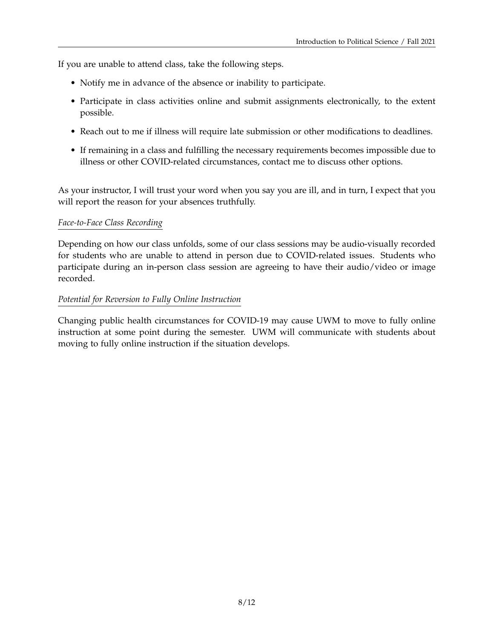If you are unable to attend class, take the following steps.

- Notify me in advance of the absence or inability to participate.
- Participate in class activities online and submit assignments electronically, to the extent possible.
- Reach out to me if illness will require late submission or other modifications to deadlines.
- If remaining in a class and fulfilling the necessary requirements becomes impossible due to illness or other COVID-related circumstances, contact me to discuss other options.

As your instructor, I will trust your word when you say you are ill, and in turn, I expect that you will report the reason for your absences truthfully.

#### *Face-to-Face Class Recording*

Depending on how our class unfolds, some of our class sessions may be audio-visually recorded for students who are unable to attend in person due to COVID-related issues. Students who participate during an in-person class session are agreeing to have their audio/video or image recorded.

#### *Potential for Reversion to Fully Online Instruction*

Changing public health circumstances for COVID-19 may cause UWM to move to fully online instruction at some point during the semester. UWM will communicate with students about moving to fully online instruction if the situation develops.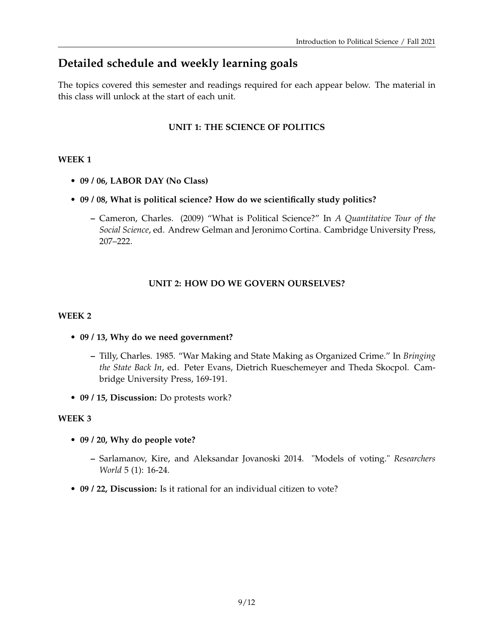## **Detailed schedule and weekly learning goals**

The topics covered this semester and readings required for each appear below. The material in this class will unlock at the start of each unit.

### **UNIT 1: THE SCIENCE OF POLITICS**

#### **WEEK 1**

- **09 / 06, LABOR DAY (No Class)**
- **09 / 08, What is political science? How do we scientifically study politics?**
	- **–** Cameron, Charles. (2009) "What is Political Science?" In *A Quantitative Tour of the Social Science*, ed. Andrew Gelman and Jeronimo Cortina. Cambridge University Press, 207–222.

#### **UNIT 2: HOW DO WE GOVERN OURSELVES?**

#### **WEEK 2**

- **09 / 13, Why do we need government?**
	- **–** Tilly, Charles. 1985. "War Making and State Making as Organized Crime." In *Bringing the State Back In*, ed. Peter Evans, Dietrich Rueschemeyer and Theda Skocpol. Cambridge University Press, 169-191.
- **09 / 15, Discussion:** Do protests work?

#### **WEEK 3**

- **09 / 20, Why do people vote?**
	- **–** Sarlamanov, Kire, and Aleksandar Jovanoski 2014. "Models of voting." *Researchers World* 5 (1): 16-24.
- **09 / 22, Discussion:** Is it rational for an individual citizen to vote?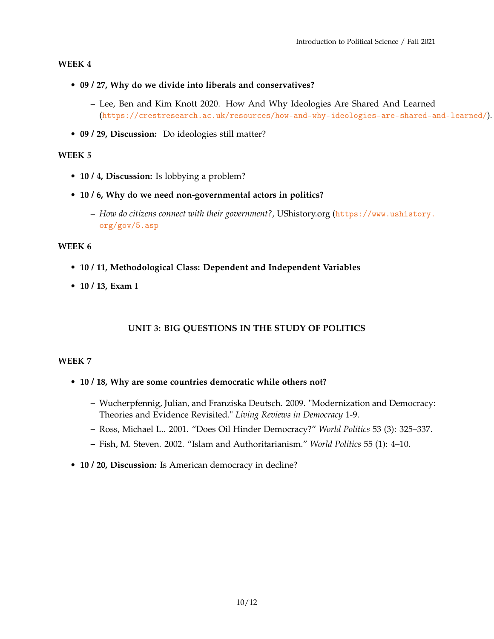#### **WEEK 4**

- **09 / 27, Why do we divide into liberals and conservatives?**
	- **–** Lee, Ben and Kim Knott 2020. How And Why Ideologies Are Shared And Learned (<https://crestresearch.ac.uk/resources/how-and-why-ideologies-are-shared-and-learned/>).
- **09 / 29, Discussion:** Do ideologies still matter?

#### **WEEK 5**

- **10 / 4, Discussion:** Is lobbying a problem?
- **10 / 6, Why do we need non-governmental actors in politics?**
	- **–** *How do citizens connect with their government?*, UShistory.org ([https://www.ushistory.](https://www.ushistory.org/gov/5.asp) [org/gov/5.asp](https://www.ushistory.org/gov/5.asp)

#### **WEEK 6**

- **10 / 11, Methodological Class: Dependent and Independent Variables**
- **10 / 13, Exam I**

#### **UNIT 3: BIG QUESTIONS IN THE STUDY OF POLITICS**

#### **WEEK 7**

- **10 / 18, Why are some countries democratic while others not?**
	- **–** Wucherpfennig, Julian, and Franziska Deutsch. 2009. "Modernization and Democracy: Theories and Evidence Revisited." *Living Reviews in Democracy* 1-9.
	- **–** Ross, Michael L.. 2001. "Does Oil Hinder Democracy?" *World Politics* 53 (3): 325–337.
	- **–** Fish, M. Steven. 2002. "Islam and Authoritarianism." *World Politics* 55 (1): 4–10.
- **10 / 20, Discussion:** Is American democracy in decline?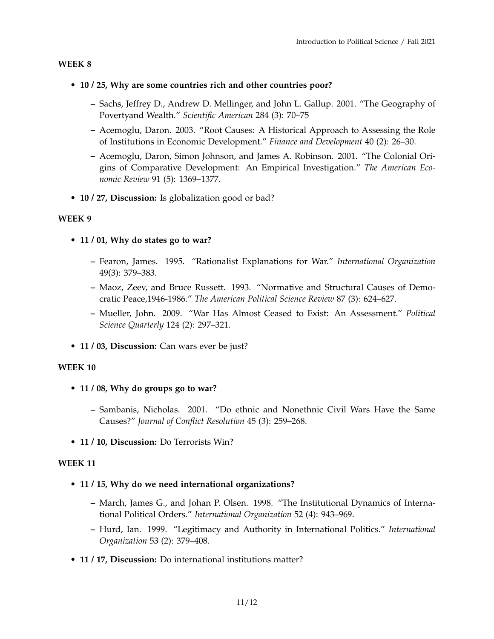#### **WEEK 8**

#### • **10 / 25, Why are some countries rich and other countries poor?**

- **–** Sachs, Jeffrey D., Andrew D. Mellinger, and John L. Gallup. 2001. "The Geography of Povertyand Wealth." *Scientific American* 284 (3): 70–75
- **–** Acemoglu, Daron. 2003. "Root Causes: A Historical Approach to Assessing the Role of Institutions in Economic Development." *Finance and Development* 40 (2): 26–30.
- **–** Acemoglu, Daron, Simon Johnson, and James A. Robinson. 2001. "The Colonial Origins of Comparative Development: An Empirical Investigation." *The American Economic Review* 91 (5): 1369–1377.
- **10 / 27, Discussion:** Is globalization good or bad?

#### **WEEK 9**

- **11 / 01, Why do states go to war?**
	- **–** Fearon, James. 1995. "Rationalist Explanations for War." *International Organization* 49(3): 379–383.
	- **–** Maoz, Zeev, and Bruce Russett. 1993. "Normative and Structural Causes of Democratic Peace,1946-1986." *The American Political Science Review* 87 (3): 624–627.
	- **–** Mueller, John. 2009. "War Has Almost Ceased to Exist: An Assessment." *Political Science Quarterly* 124 (2): 297–321.
- **11 / 03, Discussion:** Can wars ever be just?

#### **WEEK 10**

- **11 / 08, Why do groups go to war?**
	- **–** Sambanis, Nicholas. 2001. "Do ethnic and Nonethnic Civil Wars Have the Same Causes?" *Journal of Conflict Resolution* 45 (3): 259–268.
- **11 / 10, Discussion:** Do Terrorists Win?

#### **WEEK 11**

- **11 / 15, Why do we need international organizations?**
	- **–** March, James G., and Johan P. Olsen. 1998. "The Institutional Dynamics of International Political Orders." *International Organization* 52 (4): 943–969.
	- **–** Hurd, Ian. 1999. "Legitimacy and Authority in International Politics." *International Organization* 53 (2): 379–408.
- **11 / 17, Discussion:** Do international institutions matter?